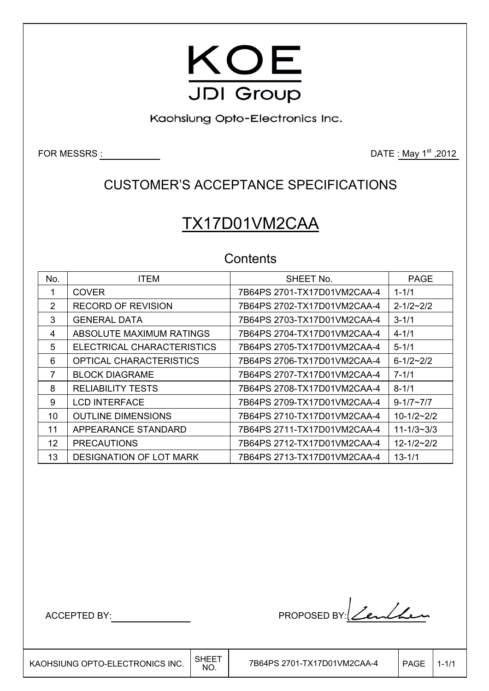

Kaohsiung Opto-Electronics Inc.

FOR MESSRS  $\underline{\hspace{1cm}}$  2012

# CUSTOMER'S ACCEPTANCE SPECIFICATIONS

# TX17D01VM2CAA

### **Contents**

| No. | <b>ITEM</b>                | SHEET No.                   | <b>PAGE</b>        |
|-----|----------------------------|-----------------------------|--------------------|
|     | <b>COVER</b>               | 7B64PS 2701-TX17D01VM2CAA-4 | $1 - 1/1$          |
| 2   | <b>RECORD OF REVISION</b>  | 7B64PS 2702-TX17D01VM2CAA-4 | $2 - 1/2 - 2/2$    |
| 3   | <b>GENERAL DATA</b>        | 7B64PS 2703-TX17D01VM2CAA-4 | $3 - 1/1$          |
| 4   | ABSOLUTE MAXIMUM RATINGS   | 7B64PS 2704-TX17D01VM2CAA-4 | $4 - 1/1$          |
| 5   | ELECTRICAL CHARACTERISTICS | 7B64PS 2705-TX17D01VM2CAA-4 | $5 - 1/1$          |
| 6   | OPTICAL CHARACTERISTICS    | 7B64PS 2706-TX17D01VM2CAA-4 | $6 - 1/2 - 2/2$    |
| 7   | <b>BLOCK DIAGRAME</b>      | 7B64PS 2707-TX17D01VM2CAA-4 | $7 - 1/1$          |
| 8   | <b>RELIABILITY TESTS</b>   | 7B64PS 2708-TX17D01VM2CAA-4 | $8 - 1/1$          |
| 9   | <b>LCD INTERFACE</b>       | 7B64PS 2709-TX17D01VM2CAA-4 | $9 - 1/7 \sim 7/7$ |
| 10  | <b>OUTLINE DIMENSIONS</b>  | 7B64PS 2710-TX17D01VM2CAA-4 | $10-1/2-2/2$       |
| 11  | APPEARANCE STANDARD        | 7B64PS 2711-TX17D01VM2CAA-4 | $11 - 1/3 - 3/3$   |
| 12  | <b>PRECAUTIONS</b>         | 7B64PS 2712-TX17D01VM2CAA-4 | $12 - 1/2 - 2/2$   |
| 13  | DESIGNATION OF LOT MARK    | 7B64PS 2713-TX17D01VM2CAA-4 | $13 - 1/1$         |

L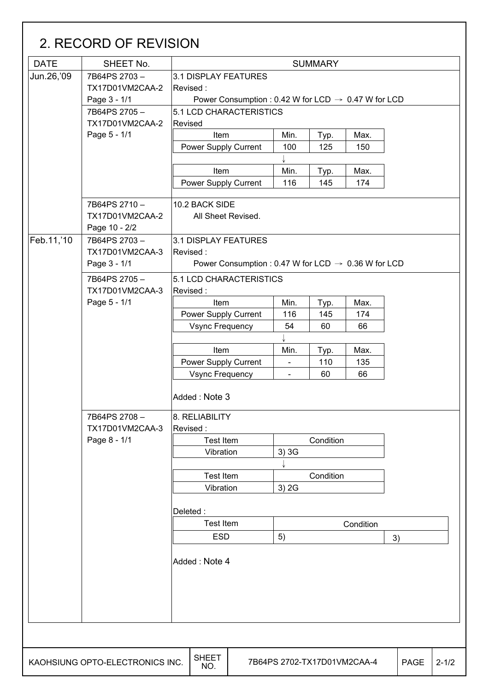# 2. RECORD OF REVISION

| <b>DATE</b> | SHEET No.                                        |                                                                 | <b>SUMMARY</b>                   |                             |           |             |           |  |  |
|-------------|--------------------------------------------------|-----------------------------------------------------------------|----------------------------------|-----------------------------|-----------|-------------|-----------|--|--|
| Jun.26,'09  | 7B64PS 2703-<br>TX17D01VM2CAA-2                  | 3.1 DISPLAY FEATURES<br>Revised:                                |                                  |                             |           |             |           |  |  |
|             | Page 3 - 1/1                                     | Power Consumption : 0.42 W for LCD $\rightarrow$ 0.47 W for LCD |                                  |                             |           |             |           |  |  |
|             | 7B64PS 2705-<br>TX17D01VM2CAA-2                  | 5.1 LCD CHARACTERISTICS<br>Revised                              |                                  |                             |           |             |           |  |  |
|             | Page 5 - 1/1                                     | Item                                                            | Min.                             | Typ.                        | Max.      |             |           |  |  |
|             |                                                  | Power Supply Current                                            | 100                              | 125                         | 150       |             |           |  |  |
|             |                                                  |                                                                 |                                  |                             |           |             |           |  |  |
|             |                                                  | Item                                                            | Min.                             | Typ.                        | Max.      |             |           |  |  |
|             |                                                  | Power Supply Current                                            | 116                              | 145                         | 174       |             |           |  |  |
|             | 7B64PS 2710-<br>TX17D01VM2CAA-2<br>Page 10 - 2/2 | 10.2 BACK SIDE<br>All Sheet Revised.                            |                                  |                             |           |             |           |  |  |
| Feb.11,'10  | 7B64PS 2703-                                     | 3.1 DISPLAY FEATURES                                            |                                  |                             |           |             |           |  |  |
|             | TX17D01VM2CAA-3                                  | Revised:                                                        |                                  |                             |           |             |           |  |  |
|             | Page 3 - 1/1                                     | Power Consumption : 0.47 W for LCD $\rightarrow$ 0.36 W for LCD |                                  |                             |           |             |           |  |  |
|             | 7B64PS 2705-<br>TX17D01VM2CAA-3                  | 5.1 LCD CHARACTERISTICS<br>Revised:                             |                                  |                             |           |             |           |  |  |
|             | Page 5 - 1/1                                     | Item                                                            | Min.                             | Typ.                        | Max.      |             |           |  |  |
|             |                                                  | Power Supply Current                                            | 116                              | 145                         | 174       |             |           |  |  |
|             |                                                  | <b>Vsync Frequency</b><br>54<br>60<br>66                        |                                  |                             |           |             |           |  |  |
|             |                                                  |                                                                 |                                  |                             |           |             |           |  |  |
|             |                                                  | Item                                                            | Min.                             | Typ.                        | Max.      |             |           |  |  |
|             |                                                  | Power Supply Current<br><b>Vsync Frequency</b>                  | $\blacksquare$<br>$\blacksquare$ | 110<br>60                   | 135<br>66 |             |           |  |  |
|             |                                                  | Added: Note 3                                                   |                                  |                             |           |             |           |  |  |
|             | 7B64PS 2708-<br>TX17D01VM2CAA-3                  | 8. RELIABILITY<br>Revised:                                      |                                  |                             |           |             |           |  |  |
|             | Page 8 - 1/1                                     | <b>Test Item</b>                                                |                                  | Condition                   |           |             |           |  |  |
|             |                                                  | Vibration                                                       | 3) 3G                            |                             |           |             |           |  |  |
|             |                                                  |                                                                 |                                  |                             |           |             |           |  |  |
|             |                                                  | <b>Test Item</b>                                                |                                  | Condition                   |           |             |           |  |  |
|             |                                                  | Vibration                                                       | 3) 2G                            |                             |           |             |           |  |  |
|             |                                                  | Deleted:                                                        |                                  |                             |           |             |           |  |  |
|             |                                                  | <b>Test Item</b>                                                |                                  |                             | Condition |             |           |  |  |
|             |                                                  | <b>ESD</b>                                                      | 5)                               |                             |           | 3)          |           |  |  |
|             |                                                  | Added: Note 4                                                   |                                  |                             |           |             |           |  |  |
|             |                                                  |                                                                 |                                  |                             |           |             |           |  |  |
|             |                                                  |                                                                 |                                  |                             |           |             |           |  |  |
|             | KAOHSIUNG OPTO-ELECTRONICS INC.                  | <b>SHEET</b><br>NO.                                             |                                  | 7B64PS 2702-TX17D01VM2CAA-4 |           | <b>PAGE</b> | $2 - 1/2$ |  |  |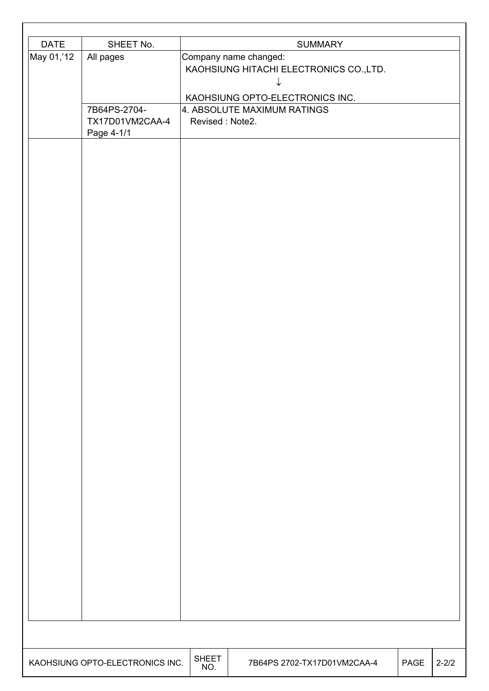| <b>DATE</b> | SHEET No.                       |                             | <b>SUMMARY</b>                          |      |           |
|-------------|---------------------------------|-----------------------------|-----------------------------------------|------|-----------|
| May 01,'12  | All pages                       | Company name changed:       |                                         |      |           |
|             |                                 |                             | KAOHSIUNG HITACHI ELECTRONICS CO., LTD. |      |           |
|             |                                 |                             |                                         |      |           |
|             |                                 |                             | KAOHSIUNG OPTO-ELECTRONICS INC.         |      |           |
|             | 7B64PS-2704-                    | 4. ABSOLUTE MAXIMUM RATINGS |                                         |      |           |
|             | TX17D01VM2CAA-4                 | Revised: Note2.             |                                         |      |           |
|             | Page 4-1/1                      |                             |                                         |      |           |
|             |                                 |                             |                                         |      |           |
|             |                                 |                             |                                         |      |           |
|             |                                 |                             |                                         |      |           |
|             |                                 |                             |                                         |      |           |
|             |                                 |                             |                                         |      |           |
|             |                                 |                             |                                         |      |           |
|             |                                 |                             |                                         |      |           |
|             |                                 |                             |                                         |      |           |
|             |                                 |                             |                                         |      |           |
|             |                                 |                             |                                         |      |           |
|             |                                 |                             |                                         |      |           |
|             |                                 |                             |                                         |      |           |
|             |                                 |                             |                                         |      |           |
|             |                                 |                             |                                         |      |           |
|             |                                 |                             |                                         |      |           |
|             |                                 |                             |                                         |      |           |
|             |                                 |                             |                                         |      |           |
|             |                                 |                             |                                         |      |           |
|             |                                 |                             |                                         |      |           |
|             |                                 |                             |                                         |      |           |
|             |                                 |                             |                                         |      |           |
|             |                                 |                             |                                         |      |           |
|             |                                 |                             |                                         |      |           |
|             |                                 |                             |                                         |      |           |
|             |                                 |                             |                                         |      |           |
|             |                                 |                             |                                         |      |           |
|             |                                 |                             |                                         |      |           |
|             |                                 |                             |                                         |      |           |
|             |                                 |                             |                                         |      |           |
|             |                                 |                             |                                         |      |           |
|             |                                 |                             |                                         |      |           |
|             |                                 |                             |                                         |      |           |
|             |                                 |                             |                                         |      |           |
|             |                                 |                             |                                         |      |           |
|             |                                 |                             |                                         |      |           |
|             |                                 |                             |                                         |      |           |
|             |                                 |                             |                                         |      |           |
|             |                                 |                             |                                         |      |           |
|             |                                 |                             |                                         |      |           |
|             |                                 |                             |                                         |      |           |
|             | KAOHSIUNG OPTO-ELECTRONICS INC. | <b>SHEET</b><br>NO.         | 7B64PS 2702-TX17D01VM2CAA-4             | PAGE | $2 - 2/2$ |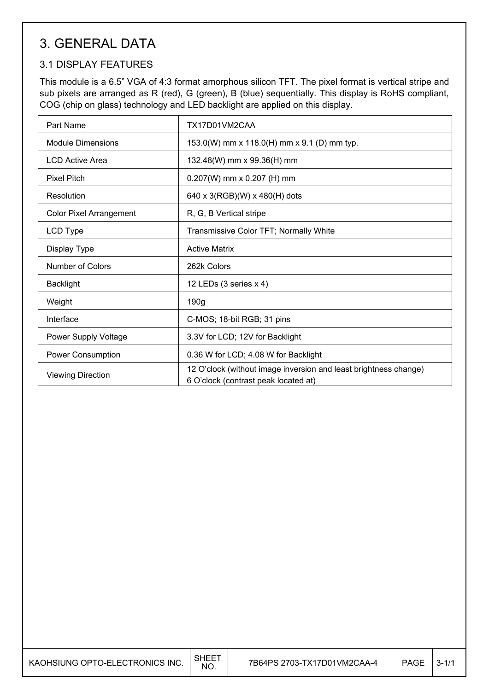# 3. GENERAL DATA

### 3.1 DISPLAY FEATURES

This module is a 6.5" VGA of 4:3 format amorphous silicon TFT. The pixel format is vertical stripe and sub pixels are arranged as R (red), G (green), B (blue) sequentially. This display is RoHS compliant, COG (chip on glass) technology and LED backlight are applied on this display.

| Part Name                      | TX17D01VM2CAA                                                                                            |
|--------------------------------|----------------------------------------------------------------------------------------------------------|
| <b>Module Dimensions</b>       | 153.0(W) mm x 118.0(H) mm x 9.1 (D) mm typ.                                                              |
| <b>LCD Active Area</b>         | 132.48(W) mm x 99.36(H) mm                                                                               |
| <b>Pixel Pitch</b>             | $0.207(W)$ mm x 0.207 (H) mm                                                                             |
| Resolution                     | 640 x 3(RGB)(W) x 480(H) dots                                                                            |
| <b>Color Pixel Arrangement</b> | R, G, B Vertical stripe                                                                                  |
| LCD Type                       | Transmissive Color TFT; Normally White                                                                   |
| Display Type                   | <b>Active Matrix</b>                                                                                     |
| <b>Number of Colors</b>        | 262k Colors                                                                                              |
| <b>Backlight</b>               | 12 LEDs (3 series x 4)                                                                                   |
| Weight                         | 190g                                                                                                     |
| Interface                      | C-MOS; 18-bit RGB; 31 pins                                                                               |
| Power Supply Voltage           | 3.3V for LCD; 12V for Backlight                                                                          |
| Power Consumption              | 0.36 W for LCD; 4.08 W for Backlight                                                                     |
| <b>Viewing Direction</b>       | 12 O'clock (without image inversion and least brightness change)<br>6 O'clock (contrast peak located at) |

| KAOHSIUNG OPTO-ELECTRONICS INC. | NO. | 7B64PS 2703-TX17D01VM2CAA-4 | <b>PAGE</b> | -3-1 |
|---------------------------------|-----|-----------------------------|-------------|------|
|---------------------------------|-----|-----------------------------|-------------|------|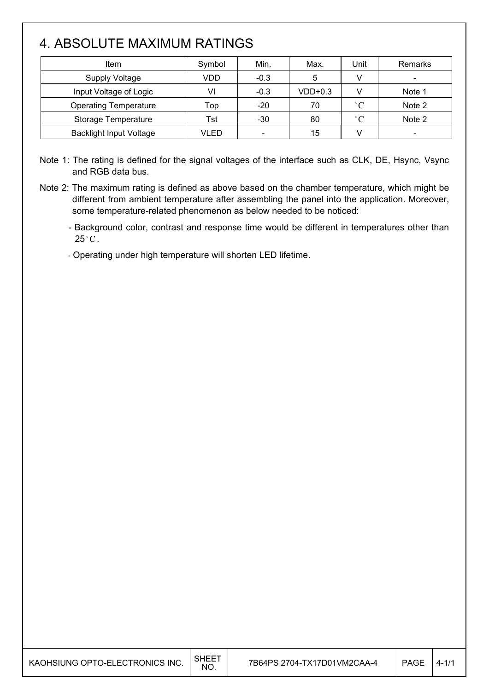# 4. ABSOLUTE MAXIMUM RATINGS

| Item                           | Symbol | Min.                         | Max.      | Unit              | Remarks                  |
|--------------------------------|--------|------------------------------|-----------|-------------------|--------------------------|
| <b>Supply Voltage</b>          | VDD    | $-0.3$                       | 5         |                   | $\overline{\phantom{a}}$ |
| Input Voltage of Logic         | VI     | $-0.3$                       | $VDD+0.3$ |                   | Note 1                   |
| <b>Operating Temperature</b>   | Top    | $-20$                        | 70        | $^{\circ}$ $\cap$ | Note 2                   |
| Storage Temperature            | Tst    | $-30$                        | 80        | $^{\circ}C$       | Note 2                   |
| <b>Backlight Input Voltage</b> | VLED   | $\qquad \qquad \blacksquare$ | 15        |                   | -                        |

Note 1: The rating is defined for the signal voltages of the interface such as CLK, DE, Hsync, Vsync and RGB data bus.

- Note 2: The maximum rating is defined as above based on the chamber temperature, which might be different from ambient temperature after assembling the panel into the application. Moreover, some temperature-related phenomenon as below needed to be noticed:
	- Background color, contrast and response time would be different in temperatures other than  $25^{\circ}$ C.

- Operating under high temperature will shorten LED lifetime.

| KAOHSIUNG OPTO-ELECTRONICS INC. | SHEE <sup>T</sup><br>NO. | 7B64PS 2704-TX17D01VM2CAA-4 | <b>PAGE</b> | $4 - 1/7$ |
|---------------------------------|--------------------------|-----------------------------|-------------|-----------|
|                                 |                          |                             |             |           |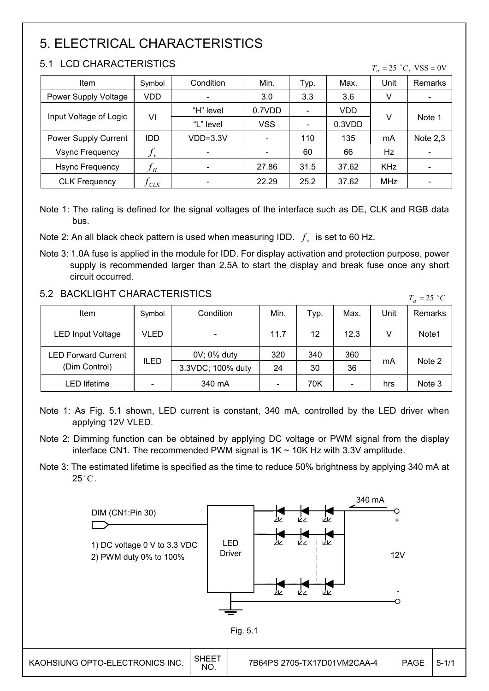# 5. ELECTRICAL CHARACTERISTICS

### 5.1 LCD CHARACTERISTICS

| LUD UHARAUTERISTIUS<br>$T_a = 25$ °C, VSS = 0V |                               |            |            |                          |        |            |                              |
|------------------------------------------------|-------------------------------|------------|------------|--------------------------|--------|------------|------------------------------|
| Item                                           | Symbol                        | Condition  | Min.       | Typ.                     | Max.   | Unit       | Remarks                      |
| Power Supply Voltage                           | VDD                           |            | 3.0        | 3.3                      | 3.6    | V          | $\overline{\phantom{a}}$     |
|                                                |                               | "H" level  | 0.7VDD     |                          | VDD    |            |                              |
| Input Voltage of Logic                         | VI                            | "L" level  | <b>VSS</b> | $\overline{\phantom{a}}$ | 0.3VDD | v          | Note 1                       |
| Power Supply Current                           | <b>IDD</b>                    | $VDD=3.3V$ |            | 110                      | 135    | mA         | Note $2,3$                   |
| <b>Vsync Frequency</b>                         | $f_{\rm\scriptscriptstyle v}$ |            |            | 60                       | 66     | Hz         |                              |
| <b>Hsync Frequency</b>                         | $f_H^{}$                      |            | 27.86      | 31.5                     | 37.62  | <b>KHz</b> | $\qquad \qquad \blacksquare$ |
| <b>CLK Frequency</b>                           | $J$ CLK                       |            | 22.29      | 25.2                     | 37.62  | <b>MHz</b> | -                            |

Note 1: The rating is defined for the signal voltages of the interface such as DE, CLK and RGB data bus.

Note 2: An all black check pattern is used when measuring IDD.  $f<sub>v</sub>$  is set to 60 Hz.

Note 3: 1.0A fuse is applied in the module for IDD. For display activation and protection purpose, power supply is recommended larger than 2.5A to start the display and break fuse once any short circuit occurred.

### 5.2 BACKLIGHT CHARACTERISTICS

| 9.2 DAUNLIUMI UMARAUTERISTIUS<br>$T_a = 25$ °C |             |                   |      |      |                          |      |                   |
|------------------------------------------------|-------------|-------------------|------|------|--------------------------|------|-------------------|
| Item                                           | Symbol      | Condition         | Min. | Тур. | Max.                     | Unit | <b>Remarks</b>    |
| <b>LED Input Voltage</b>                       | VLED        |                   | 11.7 | 12   | 12.3                     |      | Note <sub>1</sub> |
| <b>LED Forward Current</b>                     |             | 0V; 0% duty       | 320  | 340  | 360                      |      |                   |
| (Dim Control)                                  | <b>ILED</b> | 3.3VDC; 100% duty | 24   | 30   | 36                       | mA   | Note 2            |
| LED lifetime                                   |             | 340 mA            |      | 70K  | $\overline{\phantom{a}}$ | hrs  | Note 3            |

Note 1: As Fig. 5.1 shown, LED current is constant, 340 mA, controlled by the LED driver when applying 12V VLED.

Note 2: Dimming function can be obtained by applying DC voltage or PWM signal from the display interface CN1. The recommended PWM signal is  $1K \sim 10K$  Hz with 3.3V amplitude.

Note 3: The estimated lifetime is specified as the time to reduce 50% brightness by applying 340 mA at  $25^{\circ}$ C.

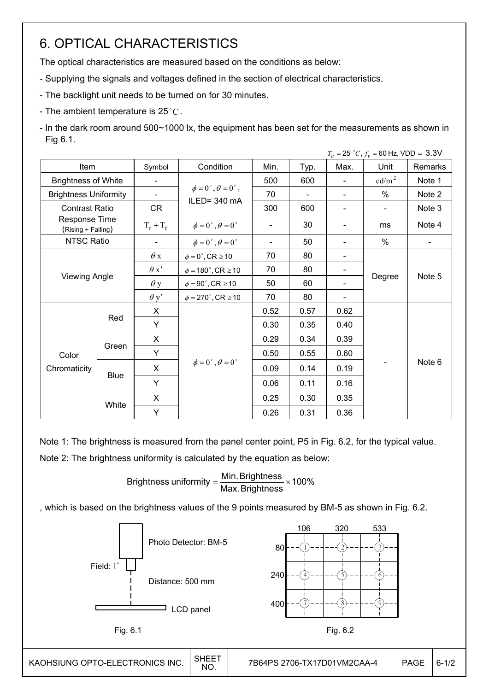# 6. OPTICAL CHARACTERISTICS

The optical characteristics are measured based on the conditions as below:

- Supplying the signals and voltages defined in the section of electrical characteristics.
- The backlight unit needs to be turned on for 30 minutes.
- The ambient temperature is 25 °C.
- In the dark room around 500~1000 lx, the equipment has been set for the measurements as shown in Fig 6.1.

|                                     |                      |                |                                          |      |                |                          | $T_a = 25 °C, f_v = 60$ Hz, VDD = 3.3V |         |
|-------------------------------------|----------------------|----------------|------------------------------------------|------|----------------|--------------------------|----------------------------------------|---------|
|                                     | Item                 |                | Condition                                | Min. | Typ.           | Max.                     | Unit                                   | Remarks |
| <b>Brightness of White</b>          |                      | $\blacksquare$ |                                          | 500  | 600            | $\blacksquare$           | $\text{cd/m}^2$                        | Note 1  |
| <b>Brightness Uniformity</b>        |                      | $\blacksquare$ | $\phi = 0^{\circ}, \theta = 0^{\circ}$ , | 70   | $\blacksquare$ |                          | %                                      | Note 2  |
| <b>Contrast Ratio</b>               |                      | <b>CR</b>      | ILED=340 mA                              | 300  | 600            | $\overline{\phantom{a}}$ | $\sim$                                 | Note 3  |
| Response Time<br>(Rising + Falling) |                      | $T_r + T_f$    | $\phi = 0^{\circ}, \theta = 0^{\circ}$   |      | 30             |                          | ms                                     | Note 4  |
| NTSC Ratio                          |                      |                | $\phi = 0^\circ$ , $\theta = 0^\circ$    |      | 50             |                          | $\%$                                   |         |
|                                     |                      | $\theta$ x     | $\phi = 0^\circ$ , CR $\geq 10$          | 70   | 80             |                          |                                        |         |
|                                     | <b>Viewing Angle</b> |                | $\phi = 180^\circ$ , CR $\geq 10$        | 70   | 80             |                          | Degree                                 |         |
|                                     |                      |                | $\phi = 90^{\circ}$ , CR $\geq 10$       | 50   | 60             |                          |                                        | Note 5  |
|                                     |                      | $\theta$ y'    | $\phi = 270^\circ$ , CR $\geq 10$        | 70   | 80             |                          |                                        |         |
|                                     |                      | X              |                                          | 0.52 | 0.57           | 0.62                     |                                        |         |
|                                     | Red                  | Y              |                                          | 0.30 | 0.35           | 0.40                     |                                        |         |
|                                     |                      | X              |                                          | 0.29 | 0.34           | 0.39                     |                                        |         |
| Color                               | Green                | Y              |                                          | 0.50 | 0.55           | 0.60                     |                                        |         |
| Chromaticity                        |                      | X              | $\phi = 0^{\circ}, \theta = 0^{\circ}$   | 0.09 | 0.14           | 0.19                     |                                        | Note 6  |
|                                     | Blue                 | Y              |                                          | 0.06 | 0.11           | 0.16                     |                                        |         |
|                                     |                      | X              |                                          | 0.25 | 0.30           | 0.35                     |                                        |         |
|                                     | White                | Y              | 0.26                                     |      | 0.31           | 0.36                     |                                        |         |

Note 1: The brightness is measured from the panel center point, P5 in Fig. 6.2, for the typical value.

Note 2: The brightness uniformity is calculated by the equation as below:

Brightness uniformity  $=\frac{100}{100}$   $\times$  100% Max.Brightness Brightness uniformity =  $\frac{\text{Min.~Brightness}}{\text{max.~S}}$ 

, which is based on the brightness values of the 9 points measured by BM-5 as shown in Fig. 6.2.

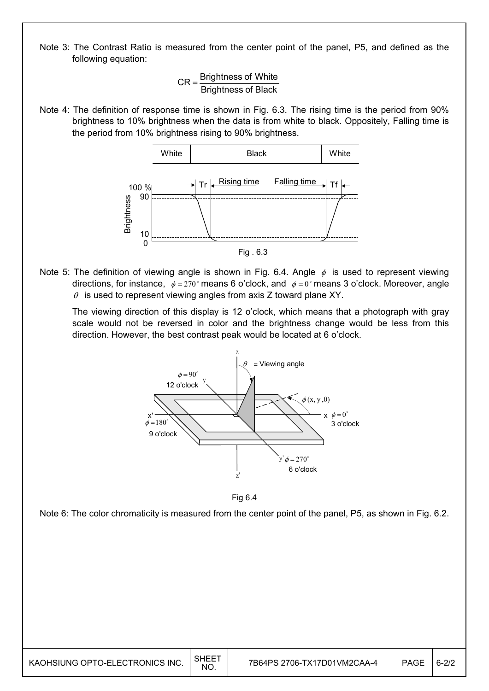Note 3: The Contrast Ratio is measured from the center point of the panel, P5, and defined as the following equation:



Note 4: The definition of response time is shown in Fig. 6.3. The rising time is the period from 90% brightness to 10% brightness when the data is from white to black. Oppositely, Falling time is the period from 10% brightness rising to 90% brightness.



Note 5: The definition of viewing angle is shown in Fig. 6.4. Angle  $\phi$  is used to represent viewing directions, for instance,  $\phi = 270^\circ$  means 6 o'clock, and  $\phi = 0^\circ$  means 3 o'clock. Moreover, angle  $\theta$  is used to represent viewing angles from axis Z toward plane XY.

 The viewing direction of this display is 12 o'clock, which means that a photograph with gray scale would not be reversed in color and the brightness change would be less from this direction. However, the best contrast peak would be located at 6 o'clock.



Fig 6.4

Note 6: The color chromaticity is measured from the center point of the panel, P5, as shown in Fig. 6.2.

| KAOHSIUNG OPTO-ELECTRONICS INC. | SHEE <sup>.</sup><br><b>NO</b> | 7B64PS 2706-TX17D01VM2CAA-4 | <b>PAGE</b> | $6-2/2$ |
|---------------------------------|--------------------------------|-----------------------------|-------------|---------|
|---------------------------------|--------------------------------|-----------------------------|-------------|---------|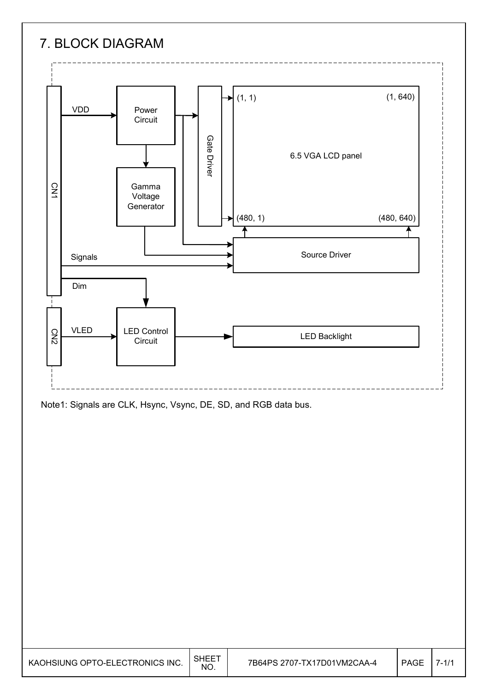# 7. BLOCK DIAGRAM



Note1: Signals are CLK, Hsync, Vsync, DE, SD, and RGB data bus.

| KAOHSIUNG OPTO-ELECTRONICS INC. | SHEE <sup>-</sup><br><b>NO</b> | 7B64PS 2707-TX17D01VM2CAA-4 | <b>PAGE</b> |  |
|---------------------------------|--------------------------------|-----------------------------|-------------|--|
|---------------------------------|--------------------------------|-----------------------------|-------------|--|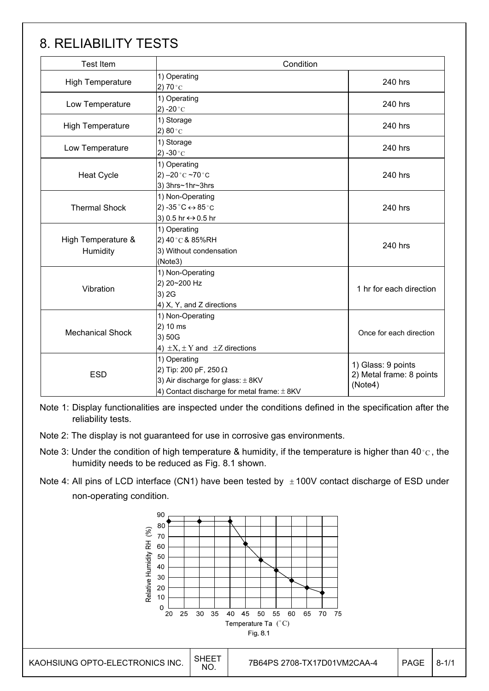# 8. RELIABILITY TESTS

| <b>Test Item</b>               | Condition                                                                                       |                         |
|--------------------------------|-------------------------------------------------------------------------------------------------|-------------------------|
| <b>High Temperature</b>        | 1) Operating<br>2) 70 $^{\circ}$ C                                                              | 240 hrs                 |
| Low Temperature                | 1) Operating<br>2) -20 $^{\circ}$ C                                                             | 240 hrs                 |
| <b>High Temperature</b>        | 1) Storage<br>2) $80^{\circ}$ C                                                                 | 240 hrs                 |
| Low Temperature                | 1) Storage<br>2) -30 $^{\circ}$ C                                                               | 240 hrs                 |
| <b>Heat Cycle</b>              | 1) Operating<br>2) $-20$ °C $-70$ °C<br>3) 3hrs~1hr~3hrs                                        | 240 hrs                 |
| <b>Thermal Shock</b>           | 1) Non-Operating<br>2) -35 $^{\circ}$ C $\leftrightarrow$ 85 $^{\circ}$ C<br>3) 0.5 hr ↔ 0.5 hr | 240 hrs                 |
| High Temperature &<br>Humidity | 1) Operating<br>2) 40 °C & 85%RH<br>3) Without condensation<br>(Note3)                          | 240 hrs                 |
| Vibration                      | 1) Non-Operating<br>2) 20~200 Hz<br>3) 2G<br>4) X, Y, and Z directions                          | 1 hr for each direction |
| <b>Mechanical Shock</b>        | 1) Non-Operating<br>2) 10 ms<br>3) 50G<br>4) $\pm X$ , $\pm Y$ and $\pm Z$ directions           | Once for each direction |
| <b>ESD</b>                     | 1) Glass: 9 points<br>2) Metal frame: 8 points<br>(Note4)                                       |                         |

Note 1: Display functionalities are inspected under the conditions defined in the specification after the reliability tests.

- Note 2: The display is not guaranteed for use in corrosive gas environments.
- Note 3: Under the condition of high temperature & humidity, if the temperature is higher than 40 °C, the humidity needs to be reduced as Fig. 8.1 shown.
- Note 4: All pins of LCD interface (CN1) have been tested by  $\pm 100V$  contact discharge of ESD under non-operating condition.

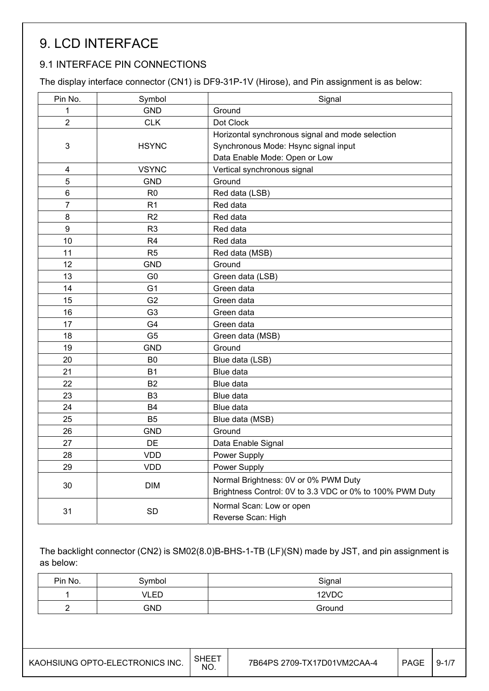# 9. LCD INTERFACE

### 9.1 INTERFACE PIN CONNECTIONS

The display interface connector (CN1) is DF9-31P-1V (Hirose), and Pin assignment is as below:

| Pin No.        | Symbol         | Signal                                                                                           |
|----------------|----------------|--------------------------------------------------------------------------------------------------|
| 1              | <b>GND</b>     | Ground                                                                                           |
| $\overline{2}$ | <b>CLK</b>     | Dot Clock                                                                                        |
|                |                | Horizontal synchronous signal and mode selection                                                 |
| 3              | <b>HSYNC</b>   | Synchronous Mode: Hsync signal input                                                             |
|                |                | Data Enable Mode: Open or Low                                                                    |
| 4              | <b>VSYNC</b>   | Vertical synchronous signal                                                                      |
| 5              | <b>GND</b>     | Ground                                                                                           |
| $\,6$          | R <sub>0</sub> | Red data (LSB)                                                                                   |
| 7              | R1             | Red data                                                                                         |
| 8              | R2             | Red data                                                                                         |
| 9              | R <sub>3</sub> | Red data                                                                                         |
| 10             | R <sub>4</sub> | Red data                                                                                         |
| 11             | R <sub>5</sub> | Red data (MSB)                                                                                   |
| 12             | <b>GND</b>     | Ground                                                                                           |
| 13             | G <sub>0</sub> | Green data (LSB)                                                                                 |
| 14             | G <sub>1</sub> | Green data                                                                                       |
| 15             | G <sub>2</sub> | Green data                                                                                       |
| 16             | G <sub>3</sub> | Green data                                                                                       |
| 17             | G4             | Green data                                                                                       |
| 18             | G <sub>5</sub> | Green data (MSB)                                                                                 |
| 19             | <b>GND</b>     | Ground                                                                                           |
| 20             | B <sub>0</sub> | Blue data (LSB)                                                                                  |
| 21             | <b>B1</b>      | Blue data                                                                                        |
| 22             | <b>B2</b>      | Blue data                                                                                        |
| 23             | B <sub>3</sub> | Blue data                                                                                        |
| 24             | <b>B4</b>      | Blue data                                                                                        |
| 25             | B <sub>5</sub> | Blue data (MSB)                                                                                  |
| 26             | <b>GND</b>     | Ground                                                                                           |
| 27             | DE             | Data Enable Signal                                                                               |
| 28             | <b>VDD</b>     | Power Supply                                                                                     |
| 29             | <b>VDD</b>     | Power Supply                                                                                     |
| 30             | <b>DIM</b>     | Normal Brightness: 0V or 0% PWM Duty<br>Brightness Control: 0V to 3.3 VDC or 0% to 100% PWM Duty |
| 31             | $\mathsf{SD}$  | Normal Scan: Low or open<br>Reverse Scan: High                                                   |

The backlight connector (CN2) is SM02(8.0)B-BHS-1-TB (LF)(SN) made by JST, and pin assignment is as below:

| Pin No. | Symbol | Signal |
|---------|--------|--------|
|         | VLED   | 12VDC  |
| -       | GND    | Ground |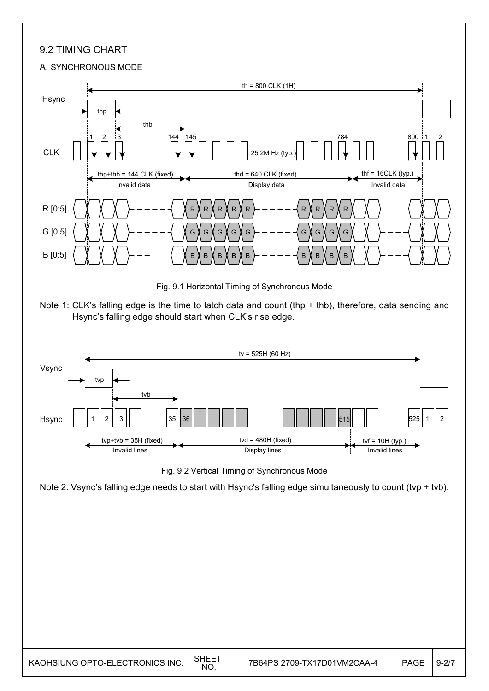### 9.2 TIMING CHART

#### A. SYNCHRONOUS MODE



| KAOHSIUNG OPTO-ELECTRONICS INC. | , SHEE <sup>7</sup><br><b>NO</b> | 7B64PS 2709-TX17D01VM2CAA-4 | <b>PAGE</b> | $9-2/7$ |
|---------------------------------|----------------------------------|-----------------------------|-------------|---------|
|---------------------------------|----------------------------------|-----------------------------|-------------|---------|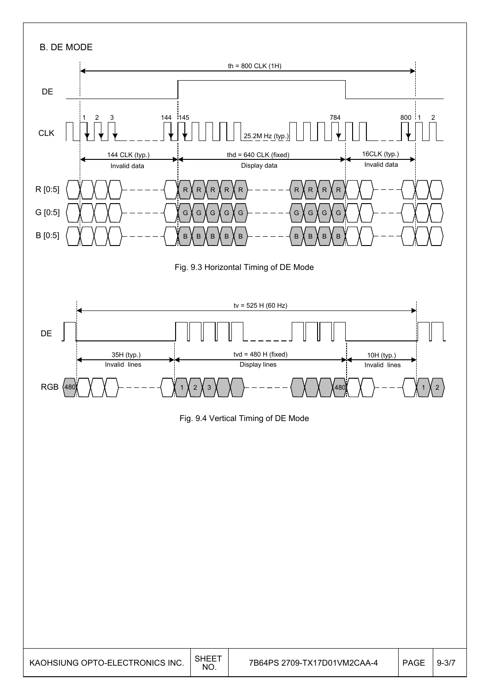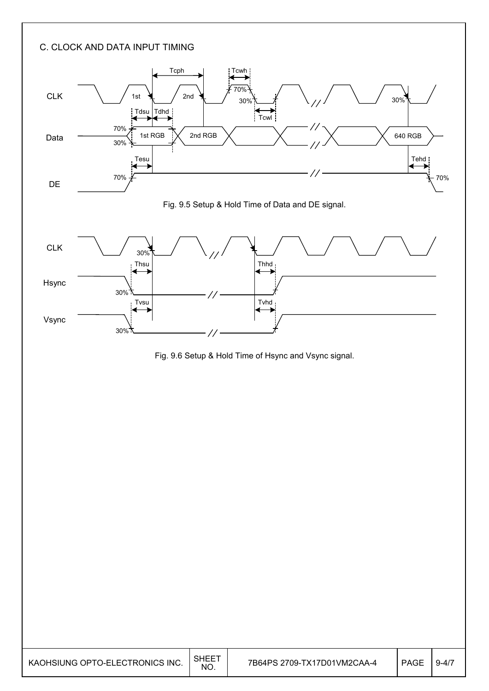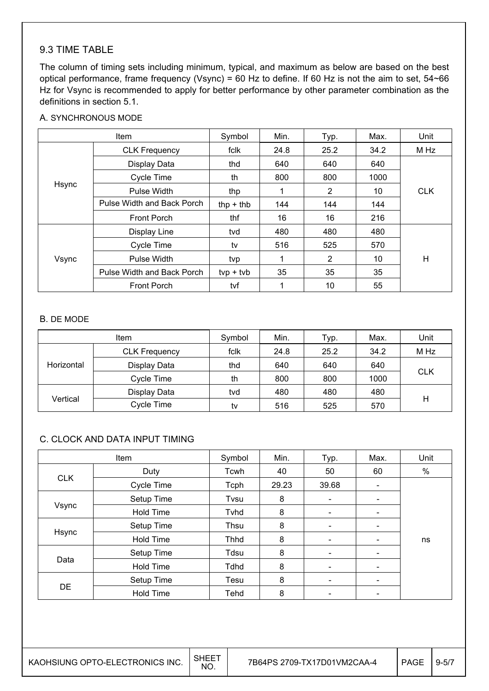#### 9.3 TIME TABLE

The column of timing sets including minimum, typical, and maximum as below are based on the best optical performance, frame frequency (Vsync) = 60 Hz to define. If 60 Hz is not the aim to set, 54~66 Hz for Vsync is recommended to apply for better performance by other parameter combination as the definitions in section 5.1.

#### A. SYNCHRONOUS MODE

| Item  |                            | Symbol      | Min. | Typ. | Max. | Unit       |
|-------|----------------------------|-------------|------|------|------|------------|
|       | <b>CLK Frequency</b>       | fclk        | 24.8 | 25.2 | 34.2 | M Hz       |
|       | Display Data               | thd         | 640  | 640  | 640  |            |
|       | Cycle Time                 | th          | 800  | 800  | 1000 |            |
| Hsync | Pulse Width                | thp         | 1    | 2    | 10   | <b>CLK</b> |
|       | Pulse Width and Back Porch | thp $+$ thb | 144  | 144  | 144  |            |
|       | <b>Front Porch</b>         | thf         | 16   | 16   | 216  |            |
|       | Display Line               | tvd         | 480  | 480  | 480  |            |
|       | Cycle Time                 | tv          | 516  | 525  | 570  |            |
| Vsync | Pulse Width                | tvp         | 1    | 2    | 10   | H          |
|       | Pulse Width and Back Porch | $typ + tvb$ | 35   | 35   | 35   |            |
|       | <b>Front Porch</b>         | tvf         | 1    | 10   | 55   |            |

#### B. DE MODE

| Item       |                      | Symbol | Min. | Typ. | Max. | Unit       |
|------------|----------------------|--------|------|------|------|------------|
|            | <b>CLK Frequency</b> | fclk   | 24.8 | 25.2 | 34.2 | M Hz       |
| Horizontal | Display Data         | thd    | 640  | 640  | 640  |            |
|            | Cycle Time           | th     | 800  | 800  | 1000 | <b>CLK</b> |
|            | Display Data         | tvd    | 480  | 480  | 480  |            |
| Vertical   | Cycle Time           | tv     | 516  | 525  | 570  | Н          |

#### C. CLOCK AND DATA INPUT TIMING

|            | Item             | Symbol      | Min.  | Typ.                         | Max.                     | Unit |
|------------|------------------|-------------|-------|------------------------------|--------------------------|------|
|            | Duty             | Tcwh        | 40    | 50                           | 60                       | $\%$ |
| <b>CLK</b> | Cycle Time       | Tcph        | 29.23 | 39.68                        | $\overline{\phantom{a}}$ |      |
|            | Setup Time       | Tvsu        | 8     | $\qquad \qquad \blacksquare$ |                          |      |
| Vsync      | <b>Hold Time</b> | Tyhd        | 8     | $\overline{\phantom{a}}$     | $\overline{\phantom{a}}$ |      |
|            | Setup Time       | Thsu        | 8     | $\overline{\phantom{a}}$     | $\overline{\phantom{0}}$ |      |
| Hsync      | <b>Hold Time</b> | <b>Thhd</b> | 8     | ۰                            |                          | ns   |
|            | Setup Time       | Tdsu        | 8     | $\overline{\phantom{a}}$     | $\overline{\phantom{a}}$ |      |
| Data       | <b>Hold Time</b> | <b>Tdhd</b> | 8     | $\qquad \qquad \blacksquare$ | $\overline{\phantom{0}}$ |      |
|            | Setup Time       | Tesu        | 8     | $\overline{\phantom{a}}$     |                          |      |
| <b>DE</b>  | <b>Hold Time</b> | Tehd        | 8     | $\qquad \qquad \blacksquare$ | -                        |      |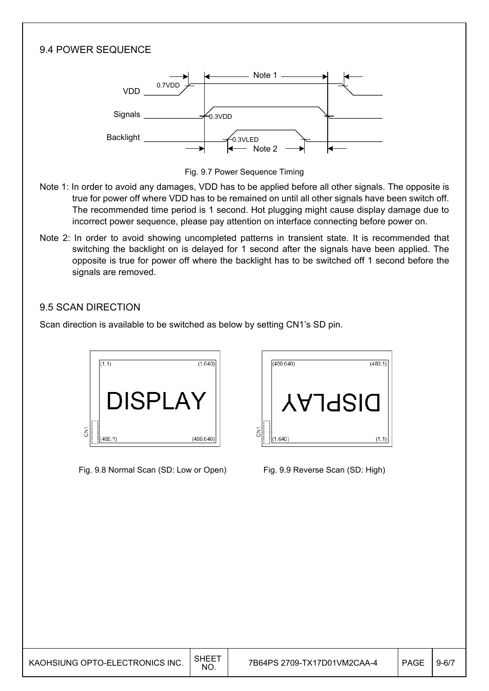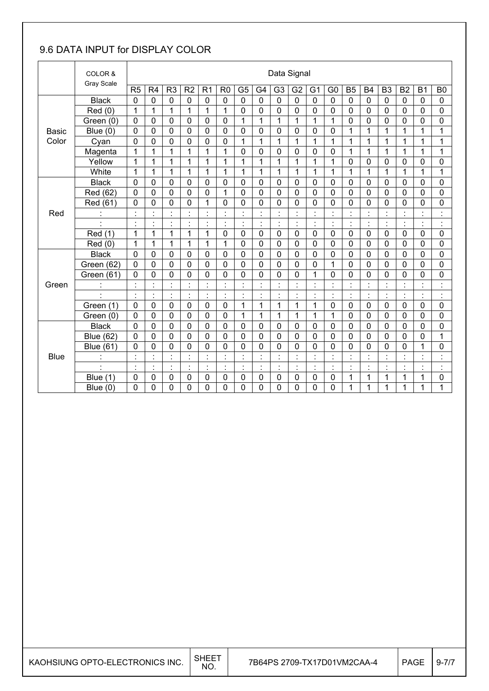### 9.6 DATA INPUT for DISPLAY COLOR

|              | COLOR &          |                |                                        |                                        |                |                     |                |                |                     | Data Signal    |                                        |                |                                        |                                  |                |                |                |                                  |                                        |
|--------------|------------------|----------------|----------------------------------------|----------------------------------------|----------------|---------------------|----------------|----------------|---------------------|----------------|----------------------------------------|----------------|----------------------------------------|----------------------------------|----------------|----------------|----------------|----------------------------------|----------------------------------------|
|              | Gray Scale       | R <sub>5</sub> | R4                                     | R <sub>3</sub>                         | R <sub>2</sub> | R <sub>1</sub>      | R <sub>0</sub> | G <sub>5</sub> | G4                  | G <sub>3</sub> | G <sub>2</sub>                         | G <sub>1</sub> | G <sub>0</sub>                         | <b>B5</b>                        | <b>B4</b>      | B <sub>3</sub> | <b>B2</b>      | <b>B1</b>                        | B <sub>0</sub>                         |
|              | <b>Black</b>     | $\mathbf 0$    | 0                                      | 0                                      | $\mathbf 0$    | 0                   | $\mathbf 0$    | $\mathbf 0$    | $\mathbf 0$         | $\overline{0}$ | $\mathbf 0$                            | 0              | $\mathbf 0$                            | $\mathbf 0$                      | $\mathbf 0$    | $\mathbf 0$    | 0              | $\mathbf 0$                      | $\mathbf 0$                            |
|              | Red(0)           | 1              | 1                                      | 1                                      | 1              | 1                   | 1              | $\mathbf 0$    | 0                   | 0              | 0                                      | 0              | 0                                      | 0                                | 0              | $\mathbf 0$    | 0              | 0                                | 0                                      |
|              | Green (0)        | $\mathbf 0$    | 0                                      | $\mathbf 0$                            | 0              | $\mathbf 0$         | $\mathbf 0$    | $\mathbf{1}$   | $\mathbf{1}$        | 1              | 1                                      | 1              | $\mathbf{1}$                           | $\mathbf 0$                      | 0              | $\mathbf 0$    | 0              | $\Omega$                         | 0                                      |
| <b>Basic</b> | Blue $(0)$       | 0              | 0                                      | $\mathbf 0$                            | 0              | 0                   | $\mathbf 0$    | $\mathbf 0$    | $\mathbf 0$         | 0              | 0                                      | 0              | 0                                      | 1                                | $\mathbf{1}$   | $\overline{1}$ | 1              | 1                                | 1                                      |
| Color        | Cyan             | 0              | 0                                      | 0                                      | 0              | 0                   | $\mathbf 0$    | 1              | 1                   | 1              | 1                                      | 1              | 1                                      | 1                                | 1              | 1              | 1              | 1                                | 1                                      |
|              | Magenta          | 1              | 1                                      | $\mathbf{1}$                           | 1              | 1                   | 1              | $\mathbf 0$    | 0                   | 0              | 0                                      | 0              | 0                                      | 1                                | 1              | 1              | 1              | 1                                | 1                                      |
|              | Yellow           | 1              | 1                                      | 1                                      | 1              | 1                   | 1              | 1              | $\mathbf{1}$        | 1              | 1                                      | 1              | 1                                      | $\mathbf 0$                      | 0              | $\mathbf 0$    | 0              | 0                                | 0                                      |
|              | White            | 1              | 1                                      | $\mathbf{1}$                           | 1              | 1                   | 1              | 1              | $\mathbf{1}$        | 1              | 1                                      | 1              | 1                                      | 1                                | 1              | 1              | 1              | 1                                | 1                                      |
|              | <b>Black</b>     | 0              | 0                                      | 0                                      | 0              | 0                   | $\mathbf 0$    | $\mathbf 0$    | $\mathbf 0$         | 0              | 0                                      | 0              | 0                                      | $\overline{0}$                   | 0              | 0              | 0              | 0                                | 0                                      |
|              | Red (62)         | $\mathbf 0$    | 0                                      | 0                                      | 0              | 0                   | 1              | $\overline{0}$ | $\overline{0}$      | 0              | $\mathbf 0$                            | 0              | $\overline{0}$                         | $\overline{0}$                   | 0              | $\mathbf 0$    | 0              | $\overline{0}$                   | $\mathbf 0$                            |
|              | Red (61)         | $\mathbf 0$    | 0                                      | 0                                      | 0              | 1                   | $\overline{0}$ | $\mathbf 0$    | $\mathbf 0$         | 0              | 0                                      | 0              | 0                                      | $\mathbf 0$                      | $\overline{0}$ | $\mathbf 0$    | 0              | $\overline{0}$                   | 0                                      |
| Red          |                  | $\blacksquare$ | $\blacksquare$<br>$\ddot{\phantom{a}}$ | $\blacksquare$                         | $\cdot$        | t                   |                | $\blacksquare$ | ٠                   |                |                                        |                | $\blacksquare$<br>$\ddot{\phantom{a}}$ | $\cdot$                          |                | $\blacksquare$ |                | $\blacksquare$                   | Ì                                      |
|              |                  | $\blacksquare$ | $\blacksquare$                         | $\blacksquare$<br>٠                    | $\blacksquare$ | ÷,                  | $\blacksquare$ | $\blacksquare$ | $\blacksquare$      | $\cdot$        | $\blacksquare$                         | $\cdot$        | $\blacksquare$<br>$\blacksquare$       | Ì,                               |                | $\cdot$        | $\blacksquare$ | $\blacksquare$                   | $\blacksquare$<br>$\blacksquare$       |
|              | Red (1)          | $\mathbf{1}$   | 1                                      | $\mathbf{1}$                           | 1              | $\mathbf{1}$        | $\overline{0}$ | $\mathbf 0$    | $\mathbf 0$         | 0              | $\mathbf 0$                            | $\mathbf 0$    | 0                                      | $\mathbf 0$                      | 0              | $\mathbf 0$    | $\mathbf 0$    | 0                                | 0                                      |
|              | Red (0)          | $\mathbf{1}$   | 1                                      | 1                                      | 1              | $\mathbf{1}$        | 1              | $\mathbf 0$    | $\mathbf 0$         | 0              | $\mathbf 0$                            | 0              | 0                                      | 0                                | $\mathbf 0$    | $\mathbf 0$    | 0              | 0                                | 0                                      |
|              | <b>Black</b>     | 0              | 0                                      | 0                                      | 0              | 0                   | $\mathbf 0$    | $\mathbf 0$    | 0                   | 0              | $\mathbf 0$                            | 0              | 0                                      | $\mathbf 0$                      | 0              | $\mathbf 0$    | 0              | 0                                | 0                                      |
|              | Green (62)       | $\mathbf 0$    | 0                                      | 0                                      | 0              | $\mathbf 0$         | $\mathbf 0$    | $\mathbf 0$    | 0                   | 0              | $\mathbf 0$                            | 0              | 1                                      | $\mathbf 0$                      | 0              | $\mathbf 0$    | 0              | 0                                | $\mathbf 0$                            |
|              | Green (61)       | $\mathbf 0$    | 0                                      | 0                                      | 0              | 0                   | $\mathbf 0$    | $\mathbf 0$    | 0                   | 0              | 0                                      | 1              | 0                                      | $\overline{0}$                   | 0              | $\mathbf 0$    | 0              | 0                                | 0                                      |
| Green        |                  | ٠              | Ì.                                     | $\blacksquare$<br>$\blacksquare$       | Ì              | $\ddot{\cdot}$      |                | t              | $\blacksquare$<br>٠ | $\cdot$        | $\blacksquare$<br>$\ddot{\phantom{a}}$ | t              | $\ddot{\phantom{a}}$                   | $\ddot{\cdot}$                   |                | $\blacksquare$ | $\blacksquare$ | $\blacksquare$<br>$\blacksquare$ | t                                      |
|              |                  | $\cdot$        | $\cdot$                                | $\blacksquare$<br>$\ddot{\phantom{a}}$ | $\blacksquare$ | $\blacksquare$<br>٠ | $\blacksquare$ | $\blacksquare$ | $\cdot$             | $\blacksquare$ | $\blacksquare$                         |                | $\blacksquare$<br>$\cdot$              | $\blacksquare$                   | $\blacksquare$ | $\cdot$        | $\blacksquare$ | ä,                               | $\blacksquare$<br>$\ddot{\phantom{a}}$ |
|              | Green (1)        | $\mathbf 0$    | 0                                      | $\mathbf 0$                            | $\mathbf 0$    | $\overline{0}$      | $\mathbf 0$    | $\overline{1}$ | $\mathbf{1}$        | 1              | 1                                      | 1              | 0                                      | $\overline{0}$                   | $\overline{0}$ | $\mathbf 0$    | $\mathbf 0$    | $\mathbf 0$                      | $\mathbf 0$                            |
|              | Green (0)        | 0              | 0                                      | 0                                      | 0              | 0                   | $\mathbf 0$    | 1              | 1                   | 1              | 1                                      | 1              | 1                                      | $\mathbf 0$                      | 0              | $\mathbf 0$    | 0              | 0                                | 0                                      |
|              | <b>Black</b>     | 0              | 0                                      | 0                                      | 0              | $\overline{0}$      | $\mathbf 0$    | $\mathbf 0$    | 0                   | 0              | $\mathbf 0$                            | $\mathbf 0$    | 0                                      | $\overline{0}$                   | 0              | $\mathbf 0$    | 0              | $\mathbf{0}$                     | $\mathbf 0$                            |
|              | <b>Blue (62)</b> | $\mathbf 0$    | 0                                      | 0                                      | 0              | $\mathbf 0$         | $\overline{0}$ | $\overline{0}$ | $\mathbf 0$         | 0              | $\overline{0}$                         | 0              | 0                                      | $\mathbf 0$                      | 0              | $\mathbf 0$    | 0              | 0                                | 1                                      |
|              | <b>Blue (61)</b> | 0              | 0                                      | 0                                      | 0              | 0                   | $\mathbf 0$    | 0              | 0                   | 0              | 0                                      | 0              | 0                                      | $\mathbf 0$                      | 0              | 0              | 0              | 1                                | 0                                      |
| <b>Blue</b>  | $\blacksquare$   | $\blacksquare$ | $\cdot$                                | $\blacksquare$                         | $\blacksquare$ | $\ddot{\cdot}$      | $\blacksquare$ | ł,             | $\cdot$             | $\cdot$        | $\blacksquare$                         | $\blacksquare$ | $\blacksquare$<br>$\cdot$              | $\blacksquare$                   | $\blacksquare$ | $\cdot$        | $\cdot$        | ä,                               | $\blacksquare$<br>$\ddot{\phantom{a}}$ |
|              | $\blacksquare$   | $\cdot$        | $\blacksquare$                         | $\blacksquare$                         | $\blacksquare$ | $\cdot$<br>٠        | $\blacksquare$ | $\blacksquare$ | $\cdot$             | $\cdot$        | $\blacksquare$                         |                | $\cdot$<br>$\cdot$                     | $\blacksquare$<br>$\blacksquare$ | $\blacksquare$ | $\cdot$        | $\cdot$        | $\blacksquare$                   | $\cdot$<br>$\ddot{\phantom{a}}$        |
|              | Blue (1)         | $\mathbf 0$    | 0                                      | 0                                      | 0              | 0                   | $\mathbf 0$    | $\mathbf 0$    | $\mathbf 0$         | 0              | $\mathbf 0$                            | 0              | 0                                      | 1                                | $\mathbf{1}$   | 1              | 1              | 1                                | $\mathbf 0$                            |
|              | Blue $(0)$       | 0              | 0                                      | 0                                      | 0              | 0                   | 0              | 0              | 0                   | 0              | 0                                      | 0              | 0                                      | 1                                | 1              | 1              | 1              | 1                                | 1                                      |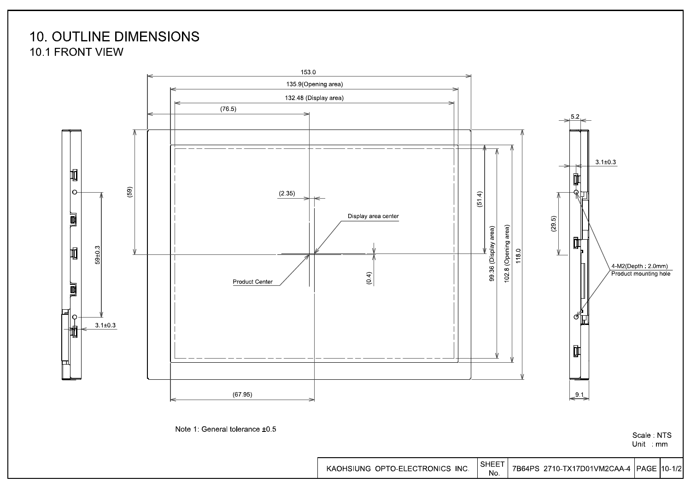### **10. OUTLINE DIMENSIONS** 10.1 FRONT VIEW

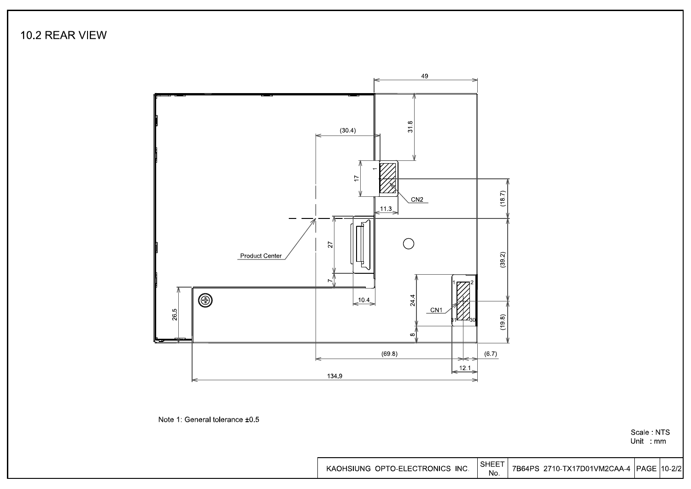10.2 REAR VIEW



Note 1: General tolerance ±0.5

Scale: NTS Unit : mm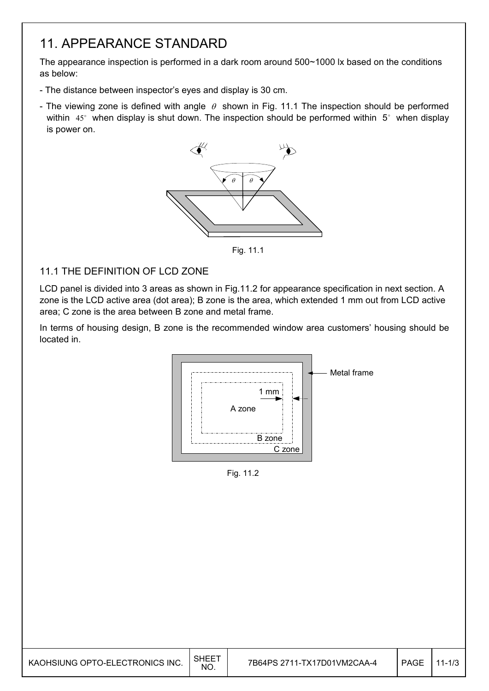## 11. APPEARANCE STANDARD

The appearance inspection is performed in a dark room around 500~1000 lx based on the conditions as below:

- The distance between inspector's eyes and display is 30 cm.
- The viewing zone is defined with angle  $\theta$  shown in Fig. 11.1 The inspection should be performed within  $45^\circ$  when display is shut down. The inspection should be performed within  $5^\circ$  when display is power on.



Fig. 11.1

### 11.1 THE DEFINITION OF LCD ZONE

LCD panel is divided into 3 areas as shown in Fig.11.2 for appearance specification in next section. A zone is the LCD active area (dot area); B zone is the area, which extended 1 mm out from LCD active area; C zone is the area between B zone and metal frame.

In terms of housing design, B zone is the recommended window area customers' housing should be located in.



Fig. 11.2

| KAOHSIUNG OPTO-ELECTRONICS INC. | SHEE <sup>-</sup><br>NO. | 7B64PS 2711-TX17D01VM2CAA-4 | <b>PAGE</b> |  |
|---------------------------------|--------------------------|-----------------------------|-------------|--|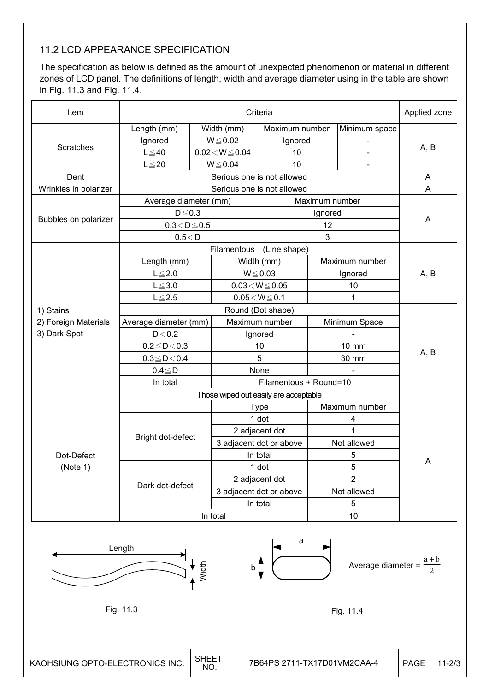### 11.2 LCD APPEARANCE SPECIFICATION

The specification as below is defined as the amount of unexpected phenomenon or material in different zones of LCD panel. The definitions of length, width and average diameter using in the table are shown in Fig. 11.3 and Fig. 11.4.

| Item                            |                        |                     |                          | Criteria                              |                |                                    | Applied zone |            |
|---------------------------------|------------------------|---------------------|--------------------------|---------------------------------------|----------------|------------------------------------|--------------|------------|
|                                 | Length (mm)            |                     | Width (mm)               | Maximum number                        |                | Minimum space                      |              |            |
|                                 | Ignored                |                     | $W \le 0.02$             | Ignored                               |                | $\overline{\phantom{a}}$           |              |            |
| Scratches                       | $L \leq 40$            |                     | $0.02\!<\!W\!\leq\!0.04$ | 10                                    |                |                                    | A, B         |            |
|                                 | $L \leq 20$            |                     | $W \le 0.04$             | 10                                    |                | $\overline{\phantom{a}}$           |              |            |
| Dent                            |                        |                     |                          | Serious one is not allowed            |                |                                    | A            |            |
| Wrinkles in polarizer           |                        |                     |                          | Serious one is not allowed            |                |                                    | $\mathsf{A}$ |            |
|                                 | Average diameter (mm)  |                     |                          |                                       | Maximum number |                                    |              |            |
|                                 | $D \le 0.3$            |                     |                          |                                       | Ignored        |                                    |              |            |
| Bubbles on polarizer            | $0.3\!<\!D\!\leq\!0.5$ |                     |                          |                                       | 12             |                                    | A            |            |
|                                 | 0.5 < D                |                     |                          |                                       | 3              |                                    |              |            |
|                                 |                        |                     | Filamentous              | (Line shape)                          |                |                                    |              |            |
|                                 | Length (mm)            |                     |                          | Width (mm)                            |                | Maximum number                     |              |            |
|                                 | $L \leq 2.0$           |                     |                          | $W \le 0.03$                          |                | Ignored                            | A, B         |            |
|                                 | $L \le 3.0$            |                     |                          | $0.03\!<\!W\!\leq\!0.05$              |                | 10                                 |              |            |
|                                 | $L \le 2.5$            |                     |                          | $0.05\!<\!W\!\leq\!0.1$               |                | 1                                  |              |            |
| 1) Stains                       |                        |                     |                          | Round (Dot shape)                     |                |                                    |              |            |
| 2) Foreign Materials            | Average diameter (mm)  |                     |                          | Maximum number                        |                | Minimum Space                      |              |            |
| 3) Dark Spot                    | D < 0.2                |                     |                          | Ignored                               |                |                                    |              |            |
|                                 | $0.2 \le D < 0.3$      |                     |                          | 10                                    |                | 10 mm                              |              |            |
|                                 | $0.3 \le D < 0.4$      |                     |                          | 5                                     |                | 30 mm                              | A, B         |            |
|                                 | $0.4 \leq D$           |                     |                          | None                                  |                |                                    |              |            |
|                                 | In total               |                     |                          | Filamentous + Round=10                |                |                                    |              |            |
|                                 |                        |                     |                          | Those wiped out easily are acceptable |                |                                    |              |            |
|                                 |                        |                     |                          | <b>Type</b>                           |                | Maximum number                     |              |            |
|                                 |                        |                     |                          | 1 dot                                 |                | 4                                  |              |            |
|                                 |                        |                     |                          | 2 adjacent dot                        |                | 1                                  |              |            |
|                                 | Bright dot-defect      |                     |                          | 3 adjacent dot or above               |                | Not allowed                        |              |            |
| Dot-Defect                      |                        |                     |                          | In total                              |                | 5                                  |              |            |
| (Note 1)                        |                        |                     |                          | 1 dot                                 |                | 5                                  | A            |            |
|                                 |                        |                     |                          | 2 adjacent dot                        |                | $\overline{2}$                     |              |            |
|                                 | Dark dot-defect        |                     |                          | 3 adjacent dot or above               |                | Not allowed                        |              |            |
|                                 |                        |                     |                          | In total                              |                | 5                                  |              |            |
|                                 |                        |                     | In total                 |                                       |                | 10                                 |              |            |
|                                 | Length                 | Width               |                          | а<br>$\mathsf{b}$                     |                | Average diameter = $\frac{a+b}{2}$ |              |            |
|                                 | Fig. 11.3              |                     |                          |                                       |                | Fig. 11.4                          |              |            |
| KAOHSIUNG OPTO-ELECTRONICS INC. |                        | <b>SHEET</b><br>NO. |                          | 7B64PS 2711-TX17D01VM2CAA-4           |                |                                    | PAGE         | $11 - 2/3$ |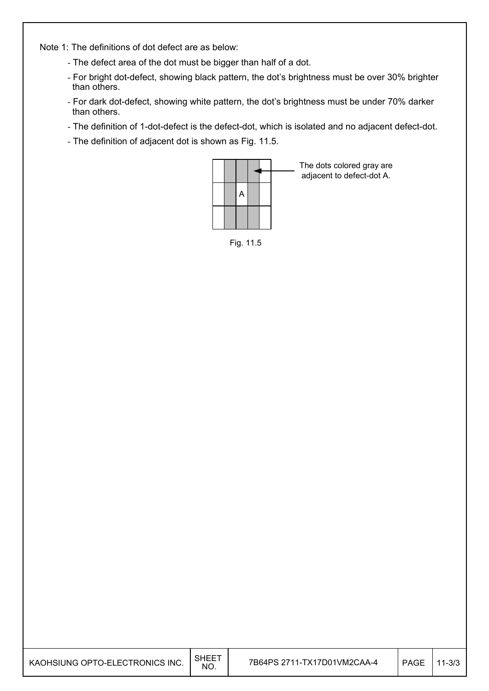Note 1: The definitions of dot defect are as below:

- The defect area of the dot must be bigger than half of a dot.
- For bright dot-defect, showing black pattern, the dot's brightness must be over 30% brighter than others.
- For dark dot-defect, showing white pattern, the dot's brightness must be under 70% darker than others.
- The definition of 1-dot-defect is the defect-dot, which is isolated and no adjacent defect-dot.
- The definition of adjacent dot is shown as Fig. 11.5.



Fig. 11.5

| KAOHSIUNG OPTO-ELECTRONICS INC. | <b>SHEET</b><br>NO. | 7B64PS 2711-TX17D01VM2CAA-4 | PAGE | $11 - 3/3$ |
|---------------------------------|---------------------|-----------------------------|------|------------|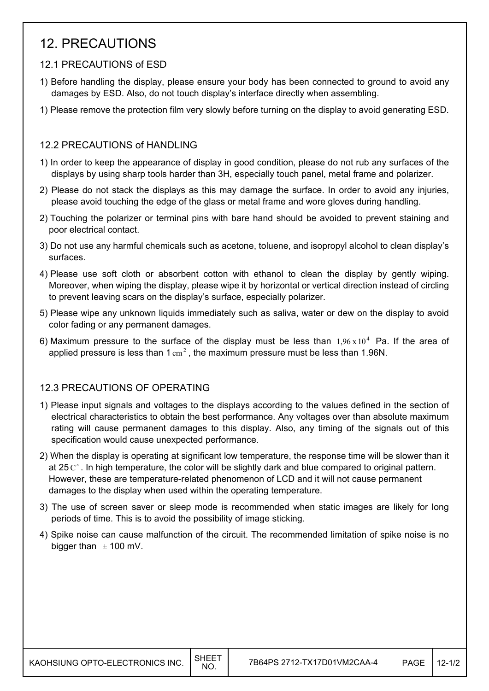### 12. PRECAUTIONS

### 12.1 PRECAUTIONS of ESD

- 1) Before handling the display, please ensure your body has been connected to ground to avoid any damages by ESD. Also, do not touch display's interface directly when assembling.
- 1) Please remove the protection film very slowly before turning on the display to avoid generating ESD.

### 12.2 PRECAUTIONS of HANDLING

- 1) In order to keep the appearance of display in good condition, please do not rub any surfaces of the displays by using sharp tools harder than 3H, especially touch panel, metal frame and polarizer.
- 2) Please do not stack the displays as this may damage the surface. In order to avoid any injuries, please avoid touching the edge of the glass or metal frame and wore gloves during handling.
- 2) Touching the polarizer or terminal pins with bare hand should be avoided to prevent staining and poor electrical contact.
- 3) Do not use any harmful chemicals such as acetone, toluene, and isopropyl alcohol to clean display's surfaces.
- 4) Please use soft cloth or absorbent cotton with ethanol to clean the display by gently wiping. Moreover, when wiping the display, please wipe it by horizontal or vertical direction instead of circling to prevent leaving scars on the display's surface, especially polarizer.
- 5) Please wipe any unknown liquids immediately such as saliva, water or dew on the display to avoid color fading or any permanent damages.
- 6) Maximum pressure to the surface of the display must be less than  $1.96 \times 10^4$  Pa. If the area of applied pressure is less than  $1 \text{ cm}^2$ , the maximum pressure must be less than 1.96N.

### 12.3 PRECAUTIONS OF OPERATING

- 1) Please input signals and voltages to the displays according to the values defined in the section of electrical characteristics to obtain the best performance. Any voltages over than absolute maximum rating will cause permanent damages to this display. Also, any timing of the signals out of this specification would cause unexpected performance.
- 2) When the display is operating at significant low temperature, the response time will be slower than it at 25 $C^{\circ}$ . In high temperature, the color will be slightly dark and blue compared to original pattern. However, these are temperature-related phenomenon of LCD and it will not cause permanent damages to the display when used within the operating temperature.
- 3) The use of screen saver or sleep mode is recommended when static images are likely for long periods of time. This is to avoid the possibility of image sticking.
- 4) Spike noise can cause malfunction of the circuit. The recommended limitation of spike noise is no bigger than  $\pm$  100 mV.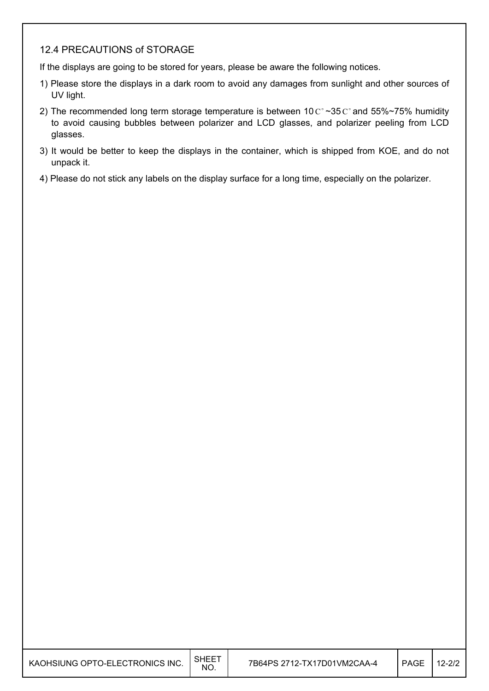#### 12.4 PRECAUTIONS of STORAGE

If the displays are going to be stored for years, please be aware the following notices.

- 1) Please store the displays in a dark room to avoid any damages from sunlight and other sources of UV light.
- 2) The recommended long term storage temperature is between 10  $C^{\circ}$  ~35  $C^{\circ}$  and 55%~75% humidity to avoid causing bubbles between polarizer and LCD glasses, and polarizer peeling from LCD glasses.
- 3) It would be better to keep the displays in the container, which is shipped from KOE, and do not unpack it.
- 4) Please do not stick any labels on the display surface for a long time, especially on the polarizer.